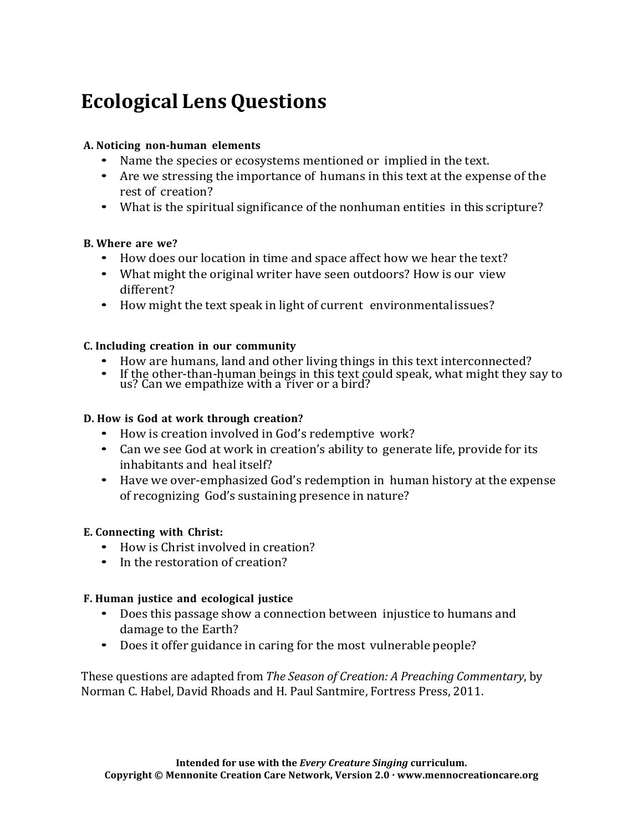# **Ecological LensQuestions**

#### **A. Noticing non-human elements**

- Name the species or ecosystems mentioned or implied in the text.
- Are we stressing the importance of humans in this text at the expense of the rest of creation?
- What is the spiritual significance of the nonhuman entities in this scripture?

#### **B. Where are we?**

- How does our location in time and space affect how we hear the text?
- What might the original writer have seen outdoors? How is our view different?
- How might the text speak in light of current environmental issues?

#### **C. Including creation in our community**

- How are humans, land and other living things in this text interconnected?
- If the other-than-human beings in this text could speak, what might they say to us? Can we empathize with a river or a bird?

#### **D. How is God at work through creation?**

- How is creation involved in God's redemptive work?
- Can we see God at work in creation's ability to generate life, provide for its inhabitants and heal itself?
- Have we over-emphasized God's redemption in human history at the expense of recognizing God's sustaining presence in nature?

#### **E. Connecting with Christ:**

- How is Christ involved in creation?
- In the restoration of creation?

#### **F. Human justice and ecological justice**

- Does this passage show a connection between injustice to humans and damage to the Earth?
- Does it offer guidance in caring for the most vulnerable people?

These questions are adapted from *The Season of Creation: A Preaching Commentary*, by Norman C. Habel, David Rhoads and H. Paul Santmire, Fortress Press, 2011.